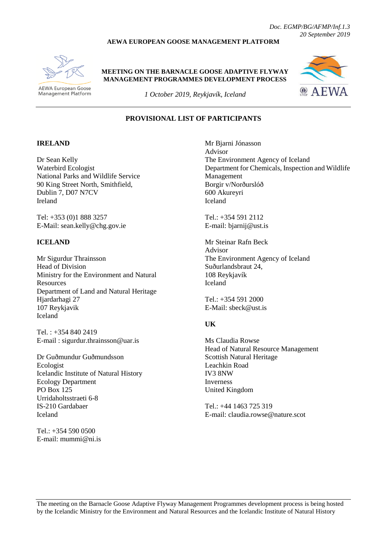#### **AEWA EUROPEAN GOOSE MANAGEMENT PLATFORM**



Management Platform

**AEWA European Goose** 

#### **MEETING ON THE BARNACLE GOOSE ADAPTIVE FLYWAY MANAGEMENT PROGRAMMES DEVELOPMENT PROCESS**



*1 October 2019, Reykjavík, Iceland*

# **PROVISIONAL LIST OF PARTICIPANTS**

### **IRELAND**

Dr Sean Kelly Waterbird Ecologist National Parks and Wildlife Service 90 King Street North, Smithfield, Dublin 7, D07 N7CV Ireland

Tel: +353 (0)1 888 3257 E-Mail: sean.kelly@chg.gov.ie

#### **ICELAND**

Mr Sigurdur Thrainsson Head of Division Ministry for the Environment and Natural Resources Department of Land and Natural Heritage Hjardarhagi 27 107 Reykjavik Iceland

Tel. : +354 840 2419 E-mail : sigurdur.thrainsson@uar.is

Dr Guðmundur Guðmundsson Ecologist Icelandic Institute of Natural History Ecology Department PO Box 125 Urridaholtsstraeti 6-8 IS-210 Gardabaer Iceland

 $Tel \cdot +354 590 0500$ E-mail: mummi@ni.is Mr Bjarni Jónasson Advisor The Environment Agency of Iceland Department for Chemicals, Inspection and Wildlife Management Borgir v/Norðurslóð 600 Akureyri Iceland

Tel.: +354 591 2112 E-mail: bjarnij@ust.is

Mr Steinar Rafn Beck Advisor The Environment Agency of Iceland Suðurlandsbraut 24, 108 Reykjavík Iceland

Tel.: +354 591 2000 E-Mail: sbeck@ust.is

#### **UK**

Ms Claudia Rowse Head of Natural Resource Management Scottish Natural Heritage Leachkin Road IV3 8NW Inverness United Kingdom

Tel.: +44 1463 725 319 E-mail: claudia.rowse@nature.scot